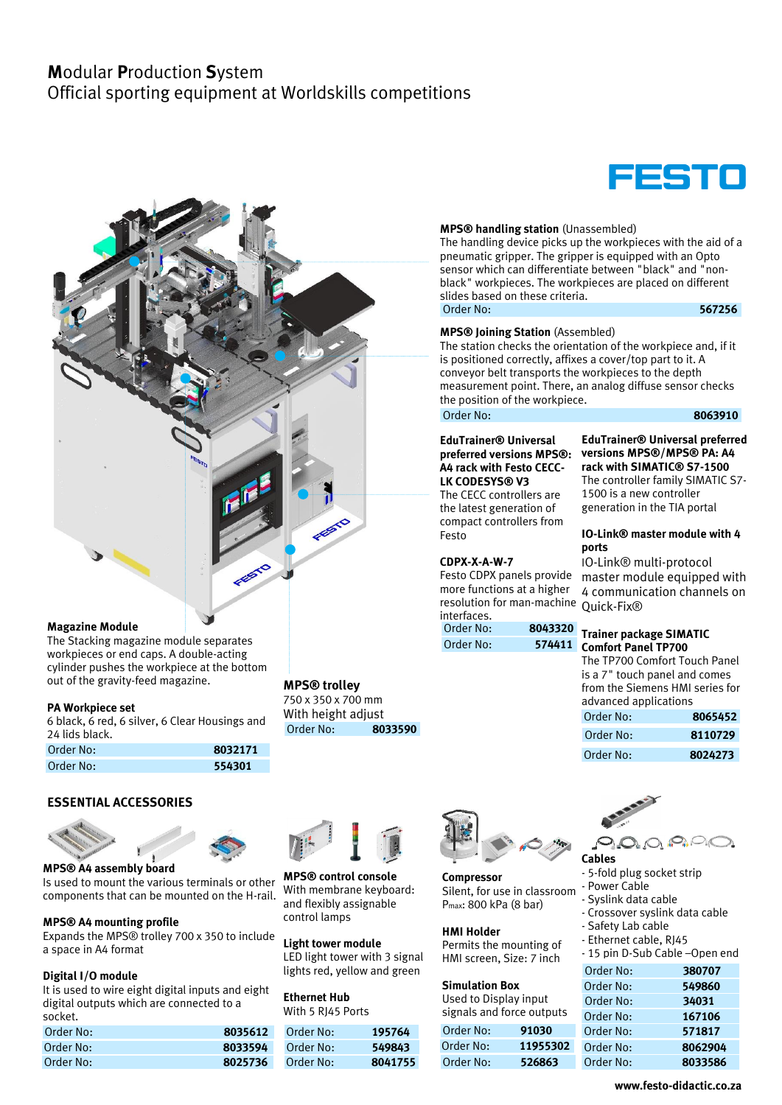# **M**odular **P**roduction **S**ystem Official sporting equipment at Worldskills competitions



**MPS® handling station** (Unassembled) The handling device picks up the workpieces with the aid of a pneumatic gripper. The gripper is equipped with an Opto sensor which can differentiate between "black" and "nonblack" workpieces. The workpieces are placed on different slides based on these criteria. Order No: **567256**

#### **MPS® Joining Station** (Assembled)

The station checks the orientation of the workpiece and, if it is positioned correctly, affixes a cover/top part to it. A conveyor belt transports the workpieces to the depth measurement point. There, an analog diffuse sensor checks the position of the workpiece.

### Order No: **8063910**

#### **EduTrainer® Universal preferred versions MPS®: A4 rack with Festo CECC-LK CODESYS® V3**

The CECC controllers are the latest generation of compact controllers from Festo

### **CDPX-X-A-W-7**

Festo CDPX panels provide more functions at a higher resolution for man-machine interfaces.

Order No: **8043320**

### **EduTrainer® Universal preferred versions MPS®/MPS® PA: A4 rack with SIMATIC® S7-1500**

The controller family SIMATIC S7- 1500 is a new controller generation in the TIA portal

### **IO-Link® master module with 4 ports**

IO-Link® multi-protocol master module equipped with 4 communication channels on Quick-Fix®

### Order No: **574411 Comfort Panel TP700 Trainer package SIMATIC**

| The TP700 Comfort Touch Panel   |         |  |
|---------------------------------|---------|--|
| is a 7" touch panel and comes   |         |  |
| from the Siemens HMI series for |         |  |
| advanced applications           |         |  |
| Order No.                       | 9065h52 |  |

| Order No: | 8065452 |  |  |
|-----------|---------|--|--|
| Order No: | 8110729 |  |  |
| Order No: | 8024273 |  |  |

| Order No: | 8110729 |
|-----------|---------|
| Order No: | 8024273 |



**Cables**

# Order No: **554301**

out of the gravity-feed magazine.

The Stacking magazine module separates workpieces or end caps. A double-acting cylinder pushes the workpiece at the bottom

6 black, 6 red, 6 silver, 6 Clear Housings and

Order No: **8032171**

# **ESSENTIAL ACCESSORIES**



**Magazine Module** 

**PA Workpiece set**

24 lids black.

Is used to mount the various terminals or other components that can be mounted on the H-rail.

### **MPS® A4 mounting profile**

Expands the MPS® trolley 700 x 350 to include a space in A4 format

### **Digital I/O module**

It is used to wire eight digital inputs and eight digital outputs which are connected to a socket.

| Order No: | 8035612 |
|-----------|---------|
| Order No: | 8033594 |
| Order No: | 8025736 |

### **MPS® trolley**

750 x 350 x 700 mm With height adjust Order No: **8033590**



and flexibly assignable **MPS® control console** With membrane keyboard: control lamps

**Light tower module** LED light tower with 3 signal lights red, yellow and green

**Ethernet Hub** With 5 RJ45 Ports

| Order No: | 195764  |
|-----------|---------|
| Order No: | 549843  |
| Order No: | 8041755 |



**Compressor** Silent, for use in classroom Pmax: 800 kPa (8 bar)

### **HMI Holder**

Permits the mounting of HMI screen, Size: 7 inch

### **Simulation Box**

Used to Display input signals and force outputs

| Order No: | 91030    |
|-----------|----------|
| Order No: | 11955302 |
| Order No: | 526863   |



- 5-fold plug socket strip

| - Power Cable<br>- Syslink data cable<br>- Crossover syslink data cable<br>- Safety Lab cable<br>- Ethernet cable, RJ45 |         |  |  |
|-------------------------------------------------------------------------------------------------------------------------|---------|--|--|
| - 15 pin D-Sub Cable -Open end                                                                                          |         |  |  |
| Order No:                                                                                                               | 380707  |  |  |
| Order No:                                                                                                               | 549860  |  |  |
| Order No:                                                                                                               | 34031   |  |  |
| Order No:                                                                                                               | 167106  |  |  |
| Order No:                                                                                                               | 571817  |  |  |
| Order No:                                                                                                               | 8062904 |  |  |
| Order No:                                                                                                               | 8033586 |  |  |